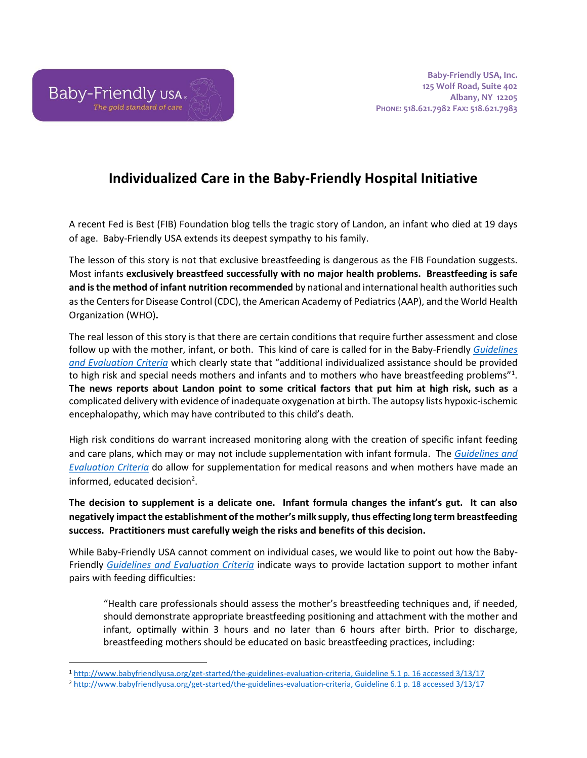

## **Individualized Care in the Baby-Friendly Hospital Initiative**

A recent Fed is Best (FIB) Foundation blog tells the tragic story of Landon, an infant who died at 19 days of age. Baby-Friendly USA extends its deepest sympathy to his family.

The lesson of this story is not that exclusive breastfeeding is dangerous as the FIB Foundation suggests. Most infants **exclusively breastfeed successfully with no major health problems. Breastfeeding is safe and is the method of infant nutrition recommended** by national and international health authorities such as the Centers for Disease Control (CDC), the American Academy of Pediatrics (AAP), and the World Health Organization (WHO)**.** 

The real lesson of this story is that there are certain conditions that require further assessment and close follow up with the mother, infant, or both. This kind of care is called for in the Baby-Friendly *[Guidelines](http://www.babyfriendlyusa.org/get-started/the-guidelines-evaluation-criteria)  [and Evaluation Criteria](http://www.babyfriendlyusa.org/get-started/the-guidelines-evaluation-criteria)* which clearly state that "additional individualized assistance should be provided to high risk and special needs mothers and infants and to mothers who have breastfeeding problems"<sup>1</sup>. **The news reports about Landon point to some critical factors that put him at high risk, such as** a complicated delivery with evidence of inadequate oxygenation at birth. The autopsy lists hypoxic-ischemic encephalopathy, which may have contributed to this child's death.

High risk conditions do warrant increased monitoring along with the creation of specific infant feeding and care plans, which may or may not include supplementation with infant formula. The *[Guidelines and](http://www.babyfriendlyusa.org/get-started/the-guidelines-evaluation-criteria)  [Evaluation Criteria](http://www.babyfriendlyusa.org/get-started/the-guidelines-evaluation-criteria)* do allow for supplementation for medical reasons and when mothers have made an informed, educated decision<sup>2</sup>.

**The decision to supplement is a delicate one. Infant formula changes the infant's gut. It can also negatively impact the establishment of the mother's milk supply, thus effecting long term breastfeeding success. Practitioners must carefully weigh the risks and benefits of this decision.**

While Baby-Friendly USA cannot comment on individual cases, we would like to point out how the Baby-Friendly *[Guidelines and Evaluation Criteria](http://www.babyfriendlyusa.org/get-started/the-guidelines-evaluation-criteria)* indicate ways to provide lactation support to mother infant pairs with feeding difficulties:

"Health care professionals should assess the mother's breastfeeding techniques and, if needed, should demonstrate appropriate breastfeeding positioning and attachment with the mother and infant, optimally within 3 hours and no later than 6 hours after birth. Prior to discharge, breastfeeding mothers should be educated on basic breastfeeding practices, including:

 $\overline{\phantom{a}}$ <sup>1</sup> [http://www.babyfriendlyusa.org/get-started/the-guidelines-evaluation-criteria,](http://www.babyfriendlyusa.org/get-started/the-guidelines-evaluation-criteria) Guideline 5.1 p. 16 accessed 3/13/17

<sup>2</sup> [http://www.babyfriendlyusa.org/get-started/the-guidelines-evaluation-criteria,](http://www.babyfriendlyusa.org/get-started/the-guidelines-evaluation-criteria) Guideline 6.1 p. 18 accessed 3/13/17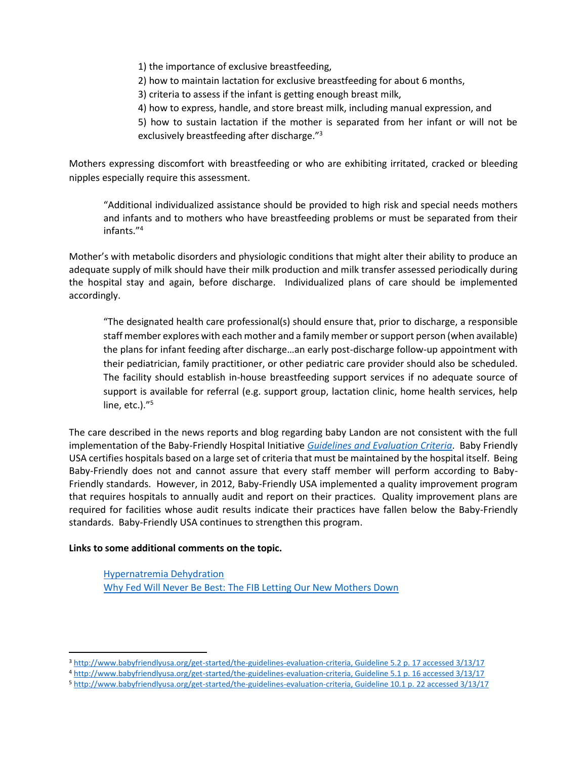1) the importance of exclusive breastfeeding,

2) how to maintain lactation for exclusive breastfeeding for about 6 months,

3) criteria to assess if the infant is getting enough breast milk,

4) how to express, handle, and store breast milk, including manual expression, and

5) how to sustain lactation if the mother is separated from her infant or will not be exclusively breastfeeding after discharge."<sup>3</sup>

Mothers expressing discomfort with breastfeeding or who are exhibiting irritated, cracked or bleeding nipples especially require this assessment.

"Additional individualized assistance should be provided to high risk and special needs mothers and infants and to mothers who have breastfeeding problems or must be separated from their infants."<sup>4</sup>

Mother's with metabolic disorders and physiologic conditions that might alter their ability to produce an adequate supply of milk should have their milk production and milk transfer assessed periodically during the hospital stay and again, before discharge. Individualized plans of care should be implemented accordingly.

"The designated health care professional(s) should ensure that, prior to discharge, a responsible staff member explores with each mother and a family member or support person (when available) the plans for infant feeding after discharge…an early post-discharge follow-up appointment with their pediatrician, family practitioner, or other pediatric care provider should also be scheduled. The facility should establish in-house breastfeeding support services if no adequate source of support is available for referral (e.g. support group, lactation clinic, home health services, help line, etc.)."<sup>5</sup>

The care described in the news reports and blog regarding baby Landon are not consistent with the full implementation of the Baby-Friendly Hospital Initiative *[Guidelines and Evaluation Criteria](http://www.babyfriendlyusa.org/get-started/the-guidelines-evaluation-criteria)*. Baby Friendly USA certifies hospitals based on a large set of criteria that must be maintained by the hospital itself. Being Baby-Friendly does not and cannot assure that every staff member will perform according to Baby-Friendly standards. However, in 2012, Baby-Friendly USA implemented a quality improvement program that requires hospitals to annually audit and report on their practices. Quality improvement plans are required for facilities whose audit results indicate their practices have fallen below the Baby-Friendly standards. Baby-Friendly USA continues to strengthen this program.

## **Links to some additional comments on the topic.**

l

[Hypernatremia Dehydration](https://www.unicef.org.uk/babyfriendly/hypernatremic-dehydration-news-coverage-response/) [Why Fed Will Never Be Best: The FIB Letting Our New Mothers Down](http://m.huffpost.com/uk/entry/12311894)

<sup>3</sup> [http://www.babyfriendlyusa.org/get-started/the-guidelines-evaluation-criteria,](http://www.babyfriendlyusa.org/get-started/the-guidelines-evaluation-criteria) Guideline 5.2 p. 17 accessed 3/13/17

<sup>4</sup> [http://www.babyfriendlyusa.org/get-started/the-guidelines-evaluation-criteria,](http://www.babyfriendlyusa.org/get-started/the-guidelines-evaluation-criteria) Guideline 5.1 p. 16 accessed 3/13/17

<sup>5</sup> [http://www.babyfriendlyusa.org/get-started/the-guidelines-evaluation-criteria,](http://www.babyfriendlyusa.org/get-started/the-guidelines-evaluation-criteria) Guideline 10.1 p. 22 accessed 3/13/17